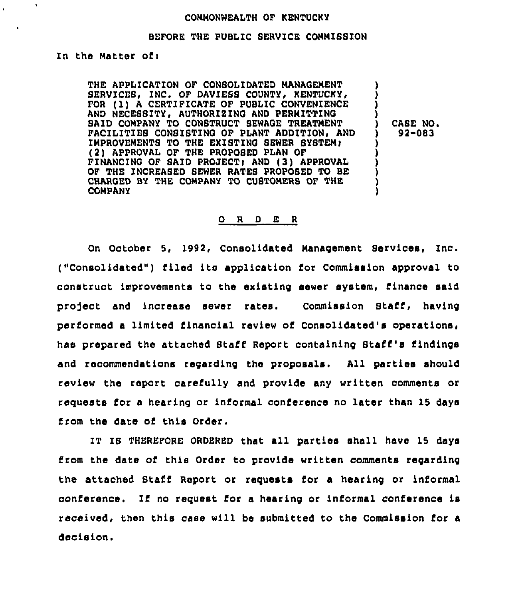### CONNONWEALTH OF KENTUCKY

### BEFORE THE PUBLIC SERVICE COMMISSION

In the Matter ofi

THE APPLICATION OF CONSOLIDATED MANAQENENT SERVICES, INC. OF DAVIESS COUNTY, KENTUCKY, FOR (1) A CERTIFICATE OF PUBLIC CONVENIENCE AND NECEBSITY, AUTHORIEINQ AND PERMITTINO SAID COMPANY TO CONSTRUCT SEWAGE TREATMENT FACILITIES CONSISTING OF PLANT ADDITION. AND IMPROVEMENTS TO THE EXISTING SEWER SYSTEM: (2) APPROVAL OF THE PROPOSED PLAN OF FINANCINO OF SAID PROJECT> AND (3) APPROVAL OF THE INCREABED SEWER RATES PROPOSED TO BE CHARGED BY THE COMPANY TO CUSTOMERS OF THE COMPANY

 $($   $)$  CASE NO.<br>  $)$  92-083 ) 92-083

)<br>) ) )

) ) ) ) ) )

#### 0 <sup>R</sup> <sup>D</sup> E <sup>R</sup>

On October 5, 1992, Consolidated Management Services, Znc. ("Consolidated") filed its application for Commission approval to construct improvements to the existing sewer system, finance said project and increase sewer rates. Commission Staff, having performed a limited financial review of Consolidated's operations, has prepared the attached Staff Report containing Staff's findings and recommendations regarding the proposals. All parties should review the report carefully and provide any written comments or requests for a hearing or informal conference no later than 15 days from the date of this Order.

IT IS THEREFORE ORDERED that all parties shall have 15 days from the date of this Order to provide written comments regarding the attached Staff Report or requests for a hearing or informal conference. If no request for a hearing or informal conference is received, then this case will be submitted to the Commission for a decision.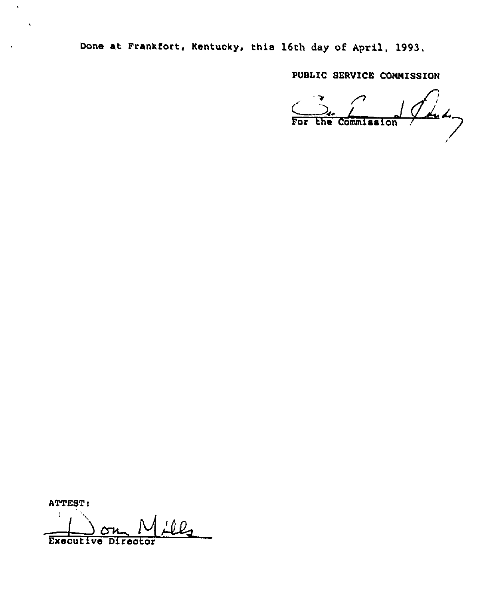Done at Frankfort, Kentucky, this 16th day ot April, 1993.

PUBLIC SERVICE CONNISSION

/ For the Commission /

ATTEST:

 $\hat{\textbf{v}}$ 

 $\hat{\mathbf{v}}$ 

 $\mathfrak{c}$ Executive Director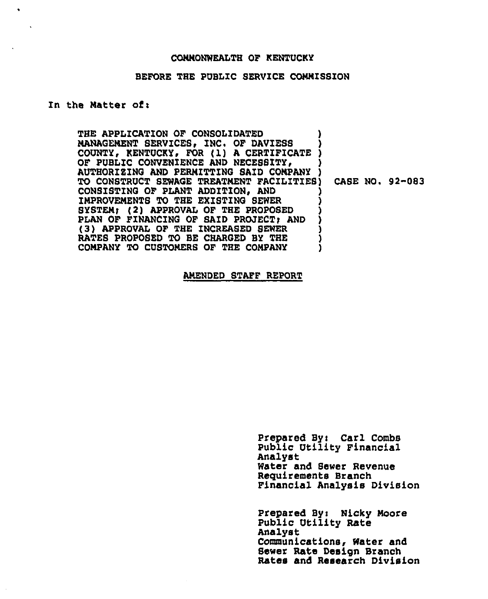#### CONNONWEALTH OF KENTUCKY

#### BEFORE THE PUBLIC SERVICE CONNISSZON

## In the Natter of:

 $\bullet$ 

THE APPLICATION OF CONSOLIDATED NANAGENENT SERVICES, INC. OF DAVIESS COUNTY, KENTUCKY, FOR (1) A CERTIFICATE ) OF PUBLIC CONVENIENCE AND NECESSITY, AUTHORIZING AND PERMITTING SAID COMPANY TO CONSTRUCT SEWAGE TREATNENT FACILITIES) CASE NO. 92-083 CONSISTING OF PLANT ADDITION, AND ) IMPROVEMENTS TO THE EXISTING SEWER SYSTEM; (2) APPROVAL OF THE PROPOSED PLAN OF FINANCING OF SAID PROJECT; AND (3) APPROVAL OF THE INCREASED SEWER (3) (3) APPROVAL OF THE INCREASED BY THE RATES PROPOSED TO BE CHARGED BY THE  $\left( \begin{array}{ccc} 0 & 0 & 0 \\ 0 & 0 & 0 \end{array} \right)$ COMPANY TO CUSTOMERS OF THE COMPANY

ANENDED STAFF REPORT

Prepared By: Carl Combs Public Utility Financial Analyst Water and Sewer Revenue Reguirements Branch Financial Analysis Division

Prepared By: Nicky Moore Public Utility Rate Analyst Communications, Water and Sewer Rate Design Branch Rates and Research Division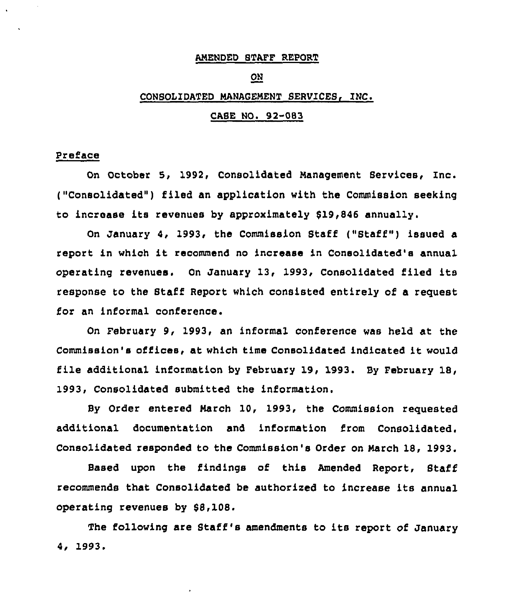### AMENDED STAFF REPORT

### ON

### CONSOLIDATED MANAGEMENT SERVICES, INC.

#### CASE NO. 92-083

### Preface

On October 5, 1992, Consolidated Management Services, Inc. ("Consolidated") filed an application with the Commission seeking to increase its revenues by approximately 819,846 annually.

On January 4, 1993, the Commission Staff ("Staff") issued a report in which it recommend no increase in Consolidated's annual operating revenues. On January 13, 1993, Consolidated filed its response to the Staff Report which consisted entirely of a request for an informal conference.

On February 9, 1993, an informal conference was held at the Commission's offices, at which time Consolidated indicated it would file additional information by February 19, 1993. By February 18, 1993, Consolidated submitted the information.

By Order entered March 10, 1993, the Commission requested additional documentation and information from Consolidated. Consolidated responded to the Commission's Order on March 18, 1993.

Based upon the findings of this Amended Report, Staff recommends that Consolidated be authorised to increase its annual operating revenues by \$8,108.

The following are Staff 's amendments to its report of January 4i 1993.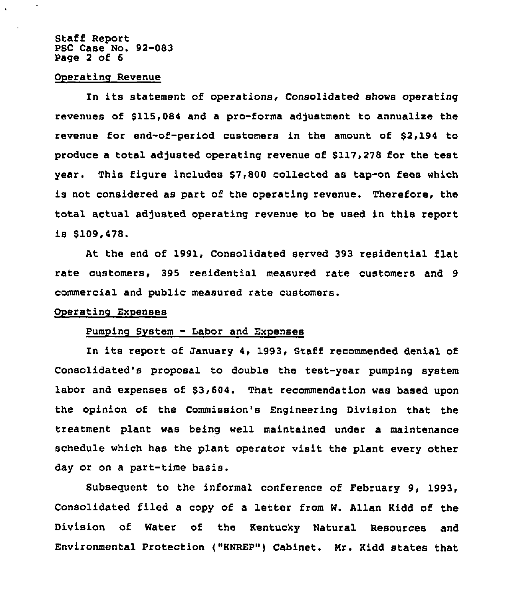### Staff Report PSC Case No. 92-083 Page 2 of 6

### Operating Revenue

In its statement of operations, Consolidated shows operating revenues of \$115,084 and a pro-forms adjustment to annualixe the revenue for end-of-period customers in the amount of \$2,194 to produce a total adjusted operating revenue of \$117,278 for the test year. This figure includes \$7,800 collected as tap-on fees which is not considered as part of the operating revenue. Therefore, the total actual adjusted operating revenue to be used in this report is \$109,478.

At the end of 1991, Consolidated served 393 residential flat rate customers, 395 residential measured rate customers and 9 commercial and public measured rate customers.

#### Operating Expenses

# Pumping System — Labor and Exnenses

In its report of January 4, 1993, Staff recommended denial of Consolidated's proposal to double the test-year pumping system labor and expenses of \$3,604. That recommendation was based upon the opinion of the Commission's Engineering Division that the treatment plant was being well maintained under a maintenance schedule which has the plant operator visit the plant every other day or on a part-time basis.

Subsequent to the informal conference of February 9, 1993, Consolidated filed a copy of a letter from W. Allan Kidd of the Division of water of the Kentucky Natural Resources and Environmental Protection {"HNREP") Cabinet. Nr. Kidd states that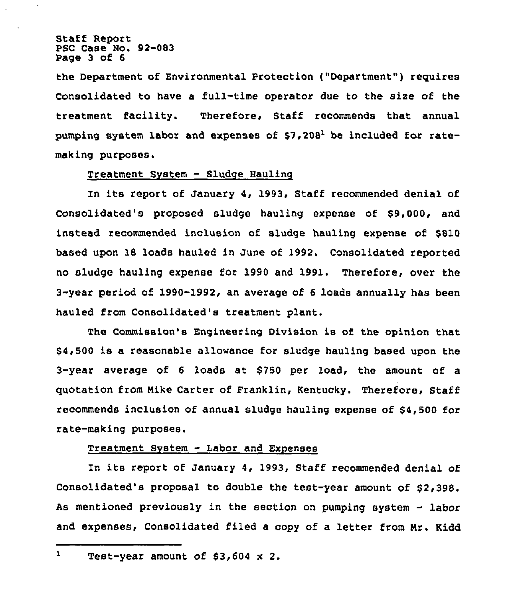Staff Report PSC Case No. 92-083 Page 3 of 6

the Department of Environmental Protection {"Department") requires Consolidated to have a full-time operator due to the size of the treatment facility. Therefore, Staff recommends that annual pumping system labor and expenses of  $57,208<sup>1</sup>$  be included for ratemaking purposes.

### Treatment System — Sludge Hauling

In its report of January 4, 1993, Staff recommended denial of Consolidated's proposed sludge hauling expense of \$9,000, and instead recommended inclusion of sludge hauling expense of \$810 based upon 18 loads hauled in June of 1992, Consolidated reported no sludge hauling expense for 1990 and 1991. Therefore, over the 3-year period of 1990-1992, an average of 6 loads annually has been hauled from Consolidated's treatment plant,

The Commission's Engineering Division is of the opinion that \$ 4,500 is a reasonable allowance for sludge hauling based upon the 3-year average of <sup>6</sup> loads at \$750 per load, the amount of a quotation from Mike Carter of Franklin, Kentucky. Therefore, Staff recommends inclusion of annual sludge hauling expense of \$4,500 for rate-making purposes.

### Treatment System - Labor and Exnenses

In its report of January 4, 1993, Staff recommended denial of Consolidated's proposal to double the test-year amount of \$2,398. As mentioned previously in the section on pumping system - labor and expenses, Consolidated filed a copy of a letter from Mr. Kidd

 $\mathbf{1}$ Test-year amount of \$3,604 x 2.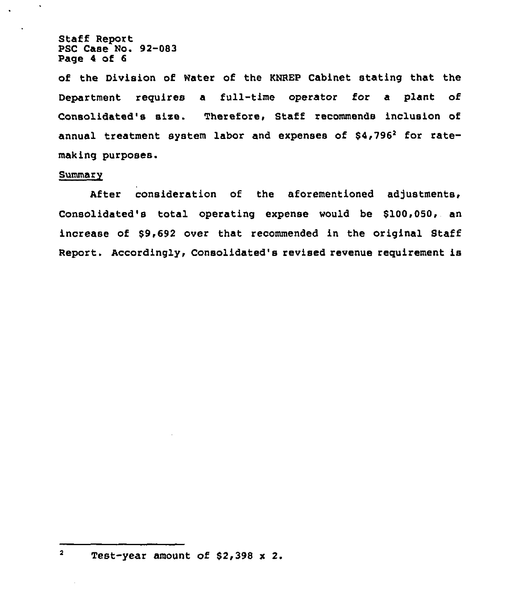Staff Report PSC Case No. 92-083 Page 4 of 6

of the Division of Water of the KNREP Cabinet stating that the Department requires a full-time operator for a plant of Consolidated's size. Therefore, Staff recommends inclusion of annual treatment system labor and expenses of \$4,796<sup>2</sup> for ratemaking purposes.

### Summary

 $\overline{\mathbf{2}}$ 

After consideration of the aforementioned adjustments, Consolidated's total operating expense would be \$100,050, an increase of \$9,692 over that recommended in the original Staff Report. Accordingly, Consolidated's revised revenue requirement is

Test-year amount of 82,398 x 2.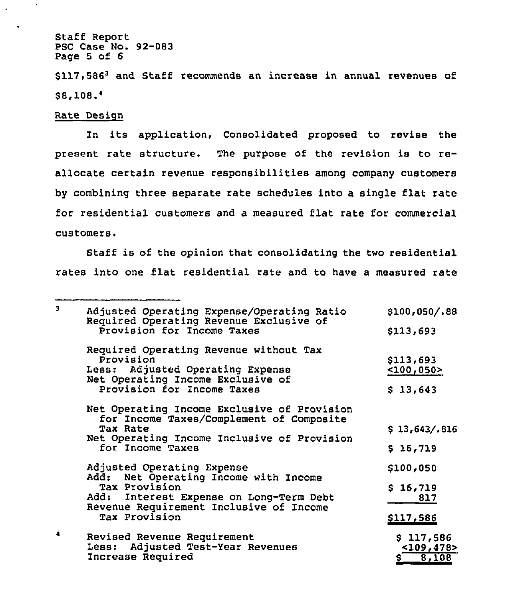Staff Report PSC Case No. 92-083 Page 5 of 6

\$117,586<sup>3</sup> and Staff recommends an increase in annual revenues of \$8,108.4

Rate Design

In its application, Consolidated proposed to revise the present rate structure. The purpose of the revision is to reallocate certain revenue responsibilities among company customers by combining three separate rate schedules into a single flat rate for residential customers and a measured flat rate for commercial customers,

Staff is of the opinion that consolidating the two residential rates into one flat residential rate and to have a measured rate

| 3 | Adjusted Operating Expense/Operating Ratio<br>Required Operating Revenue Exclusive of<br>Provision for Income Taxes                                                                         | \$100,050/.88                                    |
|---|---------------------------------------------------------------------------------------------------------------------------------------------------------------------------------------------|--------------------------------------------------|
|   |                                                                                                                                                                                             | \$113,693                                        |
|   | Required Operating Revenue without Tax<br>Provision<br>Less: Adjusted Operating Expense<br>Net Operating Income Exclusive of<br>Provision for Income Taxes                                  | \$113,693<br>$<$ 100,050 $>$<br>\$13,643         |
|   | Net Operating Income Exclusive of Provision<br>for Income Taxes/Complement of Composite<br>Tax Rate<br>Net Operating Income Inclusive of Provision<br>for Income Taxes                      | \$13,643/.816<br>\$16,719                        |
|   | Adjusted Operating Expense<br>Add: Net Operating Income with Income<br>Tax Provision<br>Add: Interest Expense on Long-Term Debt<br>Revenue Requirement Inclusive of Income<br>Tax Provision | \$100,050<br>\$16,719<br>817<br><u>\$117,586</u> |
| 4 | Revised Revenue Requirement<br>Less: Adjusted Test-Year Revenues<br>Increase Required                                                                                                       | \$117,586<br>$<$ 109,478><br>8,108<br>Ş.         |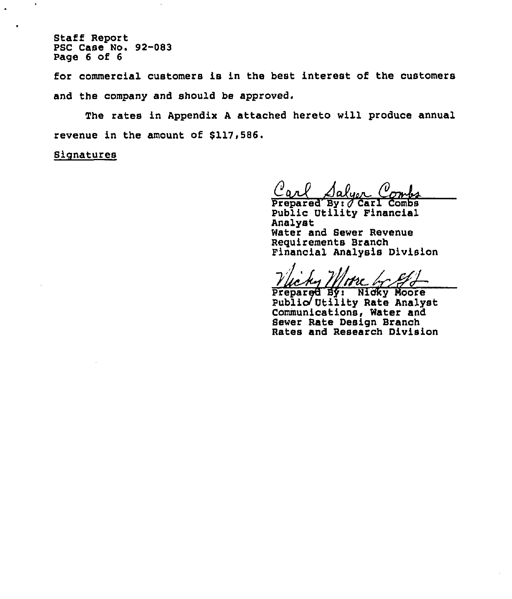Staff Report PSC Case No. 92-083 Page 6 of 6

for commercial customers is in the best interest of the customers and the company and should be approved.

The rates in Appendix <sup>A</sup> attached hereto will produce annual revenue in the amount of \$117,586.

**Signatures** 

 $\Lambda$ olum

Prepared By: *Carl* Combs Public Utility Financial Analyst Water and Sewer Revenue Requirements Branch Financial Analysis Division

'me h

Public Utility Rate Analys Communications, Water and Sewer Rate Design Branch Rates and Research Division